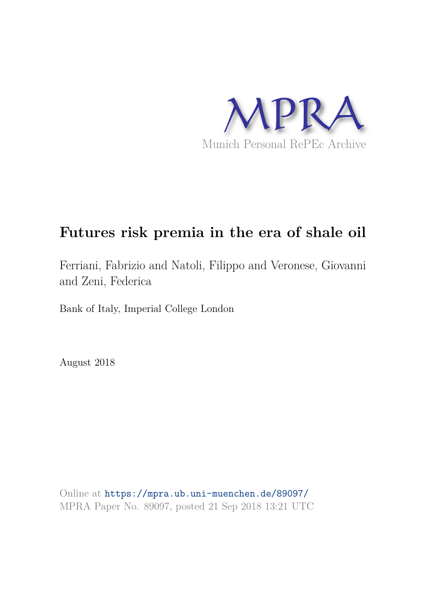

# **Futures risk premia in the era of shale oil**

Ferriani, Fabrizio and Natoli, Filippo and Veronese, Giovanni and Zeni, Federica

Bank of Italy, Imperial College London

August 2018

Online at https://mpra.ub.uni-muenchen.de/89097/ MPRA Paper No. 89097, posted 21 Sep 2018 13:21 UTC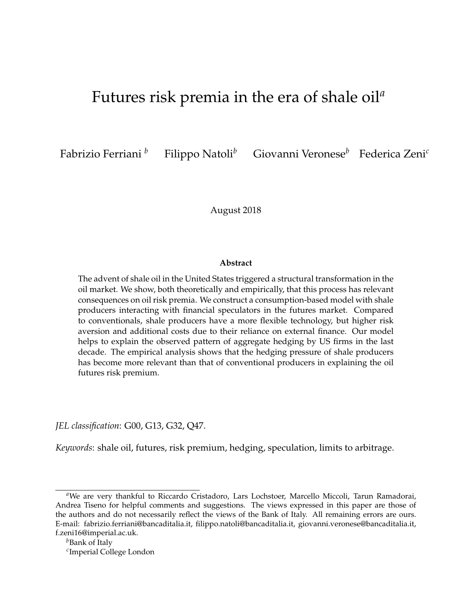## Futures risk premia in the era of shale oil*<sup>a</sup>*

Fabrizio Ferriani *<sup>b</sup>* Filippo Natoli*<sup>b</sup>* Giovanni Veronese*<sup>b</sup>* Federica Zeni*<sup>c</sup>*

August 2018

#### **Abstract**

The advent of shale oil in the United States triggered a structural transformation in the oil market. We show, both theoretically and empirically, that this process has relevant consequences on oil risk premia. We construct a consumption-based model with shale producers interacting with financial speculators in the futures market. Compared to conventionals, shale producers have a more flexible technology, but higher risk aversion and additional costs due to their reliance on external finance. Our model helps to explain the observed pattern of aggregate hedging by US firms in the last decade. The empirical analysis shows that the hedging pressure of shale producers has become more relevant than that of conventional producers in explaining the oil futures risk premium.

*JEL classification*: G00, G13, G32, Q47.

*Keywords*: shale oil, futures, risk premium, hedging, speculation, limits to arbitrage.

<sup>&</sup>lt;sup>a</sup>We are very thankful to Riccardo Cristadoro, Lars Lochstoer, Marcello Miccoli, Tarun Ramadorai, Andrea Tiseno for helpful comments and suggestions. The views expressed in this paper are those of the authors and do not necessarily reflect the views of the Bank of Italy. All remaining errors are ours. E-mail: fabrizio.ferriani@bancaditalia.it, filippo.natoli@bancaditalia.it, giovanni.veronese@bancaditalia.it, f.zeni16@imperial.ac.uk.

<sup>&</sup>lt;sup>*b*</sup>Bank of Italy

*c* Imperial College London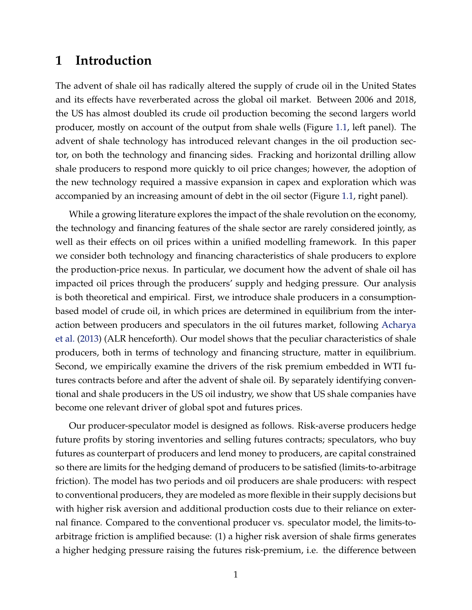## **1 Introduction**

The advent of shale oil has radically altered the supply of crude oil in the United States and its effects have reverberated across the global oil market. Between 2006 and 2018, the US has almost doubled its crude oil production becoming the second largers world producer, mostly on account of the output from shale wells (Figure 1.1, left panel). The advent of shale technology has introduced relevant changes in the oil production sector, on both the technology and financing sides. Fracking and horizontal drilling allow shale producers to respond more quickly to oil price changes; however, the adoption of the new technology required a massive expansion in capex and exploration which was accompanied by an increasing amount of debt in the oil sector (Figure 1.1, right panel).

While a growing literature explores the impact of the shale revolution on the economy, the technology and financing features of the shale sector are rarely considered jointly, as well as their effects on oil prices within a unified modelling framework. In this paper we consider both technology and financing characteristics of shale producers to explore the production-price nexus. In particular, we document how the advent of shale oil has impacted oil prices through the producers' supply and hedging pressure. Our analysis is both theoretical and empirical. First, we introduce shale producers in a consumptionbased model of crude oil, in which prices are determined in equilibrium from the interaction between producers and speculators in the oil futures market, following Acharya et al. (2013) (ALR henceforth). Our model shows that the peculiar characteristics of shale producers, both in terms of technology and financing structure, matter in equilibrium. Second, we empirically examine the drivers of the risk premium embedded in WTI futures contracts before and after the advent of shale oil. By separately identifying conventional and shale producers in the US oil industry, we show that US shale companies have become one relevant driver of global spot and futures prices.

Our producer-speculator model is designed as follows. Risk-averse producers hedge future profits by storing inventories and selling futures contracts; speculators, who buy futures as counterpart of producers and lend money to producers, are capital constrained so there are limits for the hedging demand of producers to be satisfied (limits-to-arbitrage friction). The model has two periods and oil producers are shale producers: with respect to conventional producers, they are modeled as more flexible in their supply decisions but with higher risk aversion and additional production costs due to their reliance on external finance. Compared to the conventional producer vs. speculator model, the limits-toarbitrage friction is amplified because: (1) a higher risk aversion of shale firms generates a higher hedging pressure raising the futures risk-premium, i.e. the difference between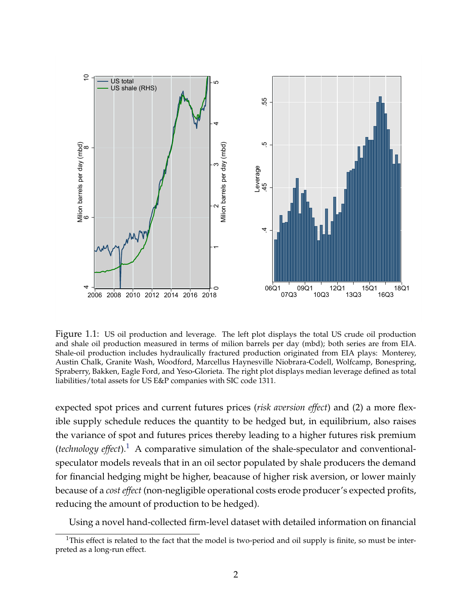

Figure 1.1: US oil production and leverage. The left plot displays the total US crude oil production and shale oil production measured in terms of milion barrels per day (mbd); both series are from EIA. Shale-oil production includes hydraulically fractured production originated from EIA plays: Monterey, Austin Chalk, Granite Wash, Woodford, Marcellus Haynesville Niobrara-Codell, Wolfcamp, Bonespring, Spraberry, Bakken, Eagle Ford, and Yeso-Glorieta. The right plot displays median leverage defined as total liabilities/total assets for US E&P companies with SIC code 1311.

expected spot prices and current futures prices (*risk aversion effect*) and (2) a more flexible supply schedule reduces the quantity to be hedged but, in equilibrium, also raises the variance of spot and futures prices thereby leading to a higher futures risk premium (*technology effect*).<sup>1</sup> A comparative simulation of the shale-speculator and conventionalspeculator models reveals that in an oil sector populated by shale producers the demand for financial hedging might be higher, beacause of higher risk aversion, or lower mainly because of a *cost effect* (non-negligible operational costs erode producer's expected profits, reducing the amount of production to be hedged).

Using a novel hand-collected firm-level dataset with detailed information on financial

<sup>&</sup>lt;sup>1</sup>This effect is related to the fact that the model is two-period and oil supply is finite, so must be interpreted as a long-run effect.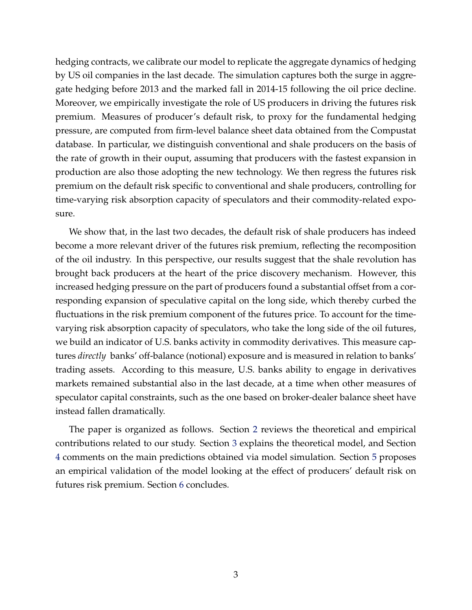hedging contracts, we calibrate our model to replicate the aggregate dynamics of hedging by US oil companies in the last decade. The simulation captures both the surge in aggregate hedging before 2013 and the marked fall in 2014-15 following the oil price decline. Moreover, we empirically investigate the role of US producers in driving the futures risk premium. Measures of producer's default risk, to proxy for the fundamental hedging pressure, are computed from firm-level balance sheet data obtained from the Compustat database. In particular, we distinguish conventional and shale producers on the basis of the rate of growth in their ouput, assuming that producers with the fastest expansion in production are also those adopting the new technology. We then regress the futures risk premium on the default risk specific to conventional and shale producers, controlling for time-varying risk absorption capacity of speculators and their commodity-related exposure.

We show that, in the last two decades, the default risk of shale producers has indeed become a more relevant driver of the futures risk premium, reflecting the recomposition of the oil industry. In this perspective, our results suggest that the shale revolution has brought back producers at the heart of the price discovery mechanism. However, this increased hedging pressure on the part of producers found a substantial offset from a corresponding expansion of speculative capital on the long side, which thereby curbed the fluctuations in the risk premium component of the futures price. To account for the timevarying risk absorption capacity of speculators, who take the long side of the oil futures, we build an indicator of U.S. banks activity in commodity derivatives. This measure captures *directly* banks' off-balance (notional) exposure and is measured in relation to banks' trading assets. According to this measure, U.S. banks ability to engage in derivatives markets remained substantial also in the last decade, at a time when other measures of speculator capital constraints, such as the one based on broker-dealer balance sheet have instead fallen dramatically.

The paper is organized as follows. Section 2 reviews the theoretical and empirical contributions related to our study. Section 3 explains the theoretical model, and Section 4 comments on the main predictions obtained via model simulation. Section 5 proposes an empirical validation of the model looking at the effect of producers' default risk on futures risk premium. Section 6 concludes.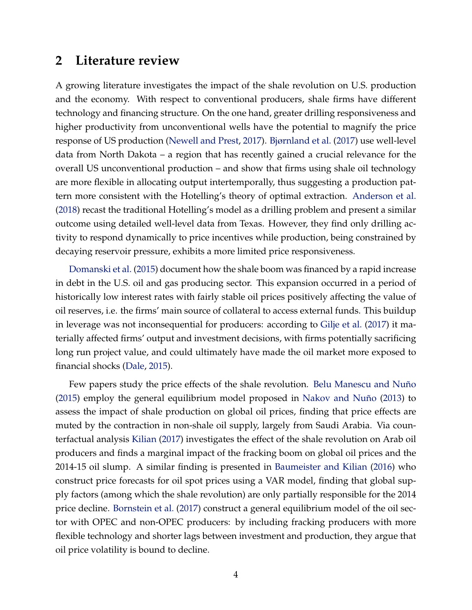### **2 Literature review**

A growing literature investigates the impact of the shale revolution on U.S. production and the economy. With respect to conventional producers, shale firms have different technology and financing structure. On the one hand, greater drilling responsiveness and higher productivity from unconventional wells have the potential to magnify the price response of US production (Newell and Prest, 2017). Bjørnland et al. (2017) use well-level data from North Dakota – a region that has recently gained a crucial relevance for the overall US unconventional production – and show that firms using shale oil technology are more flexible in allocating output intertemporally, thus suggesting a production pattern more consistent with the Hotelling's theory of optimal extraction. Anderson et al. (2018) recast the traditional Hotelling's model as a drilling problem and present a similar outcome using detailed well-level data from Texas. However, they find only drilling activity to respond dynamically to price incentives while production, being constrained by decaying reservoir pressure, exhibits a more limited price responsiveness.

Domanski et al. (2015) document how the shale boom was financed by a rapid increase in debt in the U.S. oil and gas producing sector. This expansion occurred in a period of historically low interest rates with fairly stable oil prices positively affecting the value of oil reserves, i.e. the firms' main source of collateral to access external funds. This buildup in leverage was not inconsequential for producers: according to Gilje et al. (2017) it materially affected firms' output and investment decisions, with firms potentially sacrificing long run project value, and could ultimately have made the oil market more exposed to financial shocks (Dale, 2015).

Few papers study the price effects of the shale revolution. Belu Manescu and Nuño (2015) employ the general equilibrium model proposed in Nakov and Nuño (2013) to assess the impact of shale production on global oil prices, finding that price effects are muted by the contraction in non-shale oil supply, largely from Saudi Arabia. Via counterfactual analysis Kilian (2017) investigates the effect of the shale revolution on Arab oil producers and finds a marginal impact of the fracking boom on global oil prices and the 2014-15 oil slump. A similar finding is presented in Baumeister and Kilian (2016) who construct price forecasts for oil spot prices using a VAR model, finding that global supply factors (among which the shale revolution) are only partially responsible for the 2014 price decline. Bornstein et al. (2017) construct a general equilibrium model of the oil sector with OPEC and non-OPEC producers: by including fracking producers with more flexible technology and shorter lags between investment and production, they argue that oil price volatility is bound to decline.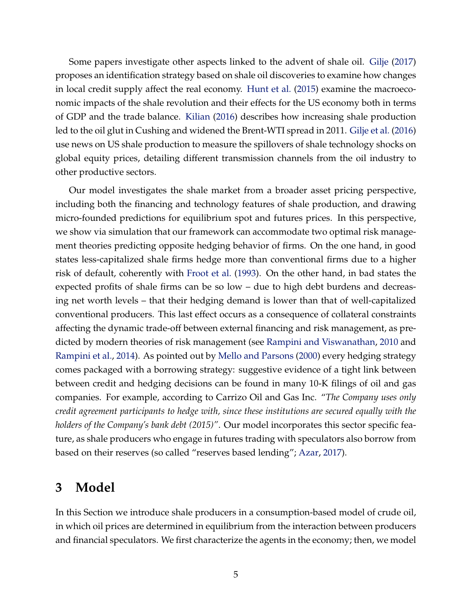Some papers investigate other aspects linked to the advent of shale oil. Gilje (2017) proposes an identification strategy based on shale oil discoveries to examine how changes in local credit supply affect the real economy. Hunt et al. (2015) examine the macroeconomic impacts of the shale revolution and their effects for the US economy both in terms of GDP and the trade balance. Kilian (2016) describes how increasing shale production led to the oil glut in Cushing and widened the Brent-WTI spread in 2011. Gilje et al. (2016) use news on US shale production to measure the spillovers of shale technology shocks on global equity prices, detailing different transmission channels from the oil industry to other productive sectors.

Our model investigates the shale market from a broader asset pricing perspective, including both the financing and technology features of shale production, and drawing micro-founded predictions for equilibrium spot and futures prices. In this perspective, we show via simulation that our framework can accommodate two optimal risk management theories predicting opposite hedging behavior of firms. On the one hand, in good states less-capitalized shale firms hedge more than conventional firms due to a higher risk of default, coherently with Froot et al. (1993). On the other hand, in bad states the expected profits of shale firms can be so low – due to high debt burdens and decreasing net worth levels – that their hedging demand is lower than that of well-capitalized conventional producers. This last effect occurs as a consequence of collateral constraints affecting the dynamic trade-off between external financing and risk management, as predicted by modern theories of risk management (see Rampini and Viswanathan, 2010 and Rampini et al., 2014). As pointed out by Mello and Parsons (2000) every hedging strategy comes packaged with a borrowing strategy: suggestive evidence of a tight link between between credit and hedging decisions can be found in many 10-K filings of oil and gas companies. For example, according to Carrizo Oil and Gas Inc. "*The Company uses only credit agreement participants to hedge with, since these institutions are secured equally with the holders of the Company's bank debt (2015)"*. Our model incorporates this sector specific feature, as shale producers who engage in futures trading with speculators also borrow from based on their reserves (so called "reserves based lending"; Azar, 2017).

## **3 Model**

In this Section we introduce shale producers in a consumption-based model of crude oil, in which oil prices are determined in equilibrium from the interaction between producers and financial speculators. We first characterize the agents in the economy; then, we model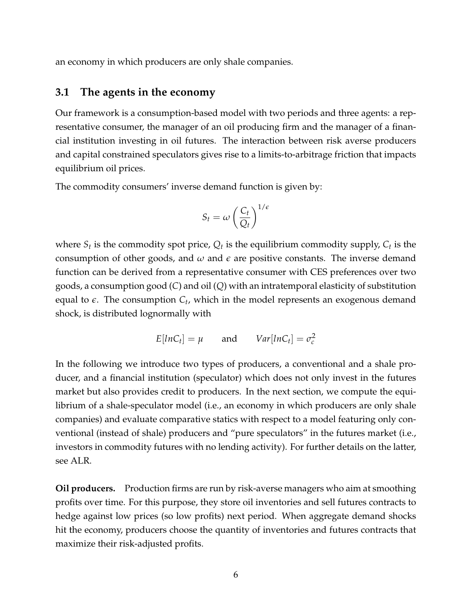an economy in which producers are only shale companies.

#### **3.1 The agents in the economy**

Our framework is a consumption-based model with two periods and three agents: a representative consumer, the manager of an oil producing firm and the manager of a financial institution investing in oil futures. The interaction between risk averse producers and capital constrained speculators gives rise to a limits-to-arbitrage friction that impacts equilibrium oil prices.

The commodity consumers' inverse demand function is given by:

$$
S_t = \omega \left(\frac{C_t}{Q_t}\right)^{1/\epsilon}
$$

where  $S_t$  is the commodity spot price,  $Q_t$  is the equilibrium commodity supply,  $C_t$  is the consumption of other goods, and  $\omega$  and  $\epsilon$  are positive constants. The inverse demand function can be derived from a representative consumer with CES preferences over two goods, a consumption good (*C*) and oil (*Q*) with an intratemporal elasticity of substitution equal to  $\epsilon$ . The consumption  $C_t$ , which in the model represents an exogenous demand shock, is distributed lognormally with

$$
E[lnC_t] = \mu \quad \text{and} \quad Var[lnC_t] = \sigma_c^2
$$

In the following we introduce two types of producers, a conventional and a shale producer, and a financial institution (speculator) which does not only invest in the futures market but also provides credit to producers. In the next section, we compute the equilibrium of a shale-speculator model (i.e., an economy in which producers are only shale companies) and evaluate comparative statics with respect to a model featuring only conventional (instead of shale) producers and "pure speculators" in the futures market (i.e., investors in commodity futures with no lending activity). For further details on the latter, see ALR.

**Oil producers.** Production firms are run by risk-averse managers who aim at smoothing profits over time. For this purpose, they store oil inventories and sell futures contracts to hedge against low prices (so low profits) next period. When aggregate demand shocks hit the economy, producers choose the quantity of inventories and futures contracts that maximize their risk-adjusted profits.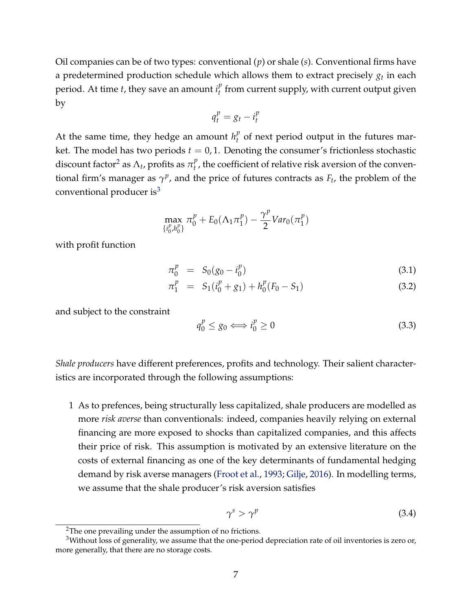Oil companies can be of two types: conventional (*p*) or shale (*s*). Conventional firms have a predetermined production schedule which allows them to extract precisely  $g_t$  in each period. At time *t*, they save an amount  $i_t^p$  $t<sub>t</sub><sup>p</sup>$  from current supply, with current output given by

$$
q_t^p = g_t - i_t^p
$$

At the same time, they hedge an amount  $h_t^p$  $t<sub>t</sub><sup>\nu</sup>$  of next period output in the futures market. The model has two periods  $t = 0, 1$ . Denoting the consumer's frictionless stochastic discount factor<sup>2</sup> as  $\Lambda_t$ , profits as  $\pi_t^p$  $t<sub>t</sub><sup>p</sup>$ , the coefficient of relative risk aversion of the conventional firm's manager as  $\gamma^p$ , and the price of futures contracts as  $F_t$ , the problem of the conventional producer is $3$ 

$$
\max_{\{i_0^p,h_0^p\}} \pi_0^p + E_0(\Lambda_1 \pi_1^p) - \frac{\gamma^p}{2}Var_0(\pi_1^p)
$$

with profit function

$$
\pi_0^p = S_0(g_0 - i_0^p) \tag{3.1}
$$

$$
\pi_1^p = S_1(i_0^p + g_1) + h_0^p(F_0 - S_1) \tag{3.2}
$$

and subject to the constraint

$$
q_0^p \le g_0 \Longleftrightarrow i_0^p \ge 0 \tag{3.3}
$$

*Shale producers* have different preferences, profits and technology. Their salient characteristics are incorporated through the following assumptions:

1 As to prefences, being structurally less capitalized, shale producers are modelled as more *risk averse* than conventionals: indeed, companies heavily relying on external financing are more exposed to shocks than capitalized companies, and this affects their price of risk. This assumption is motivated by an extensive literature on the costs of external financing as one of the key determinants of fundamental hedging demand by risk averse managers (Froot et al., 1993; Gilje, 2016). In modelling terms, we assume that the shale producer's risk aversion satisfies

$$
\gamma^s > \gamma^p \tag{3.4}
$$

<sup>&</sup>lt;sup>2</sup>The one prevailing under the assumption of no frictions.

<sup>&</sup>lt;sup>3</sup>Without loss of generality, we assume that the one-period depreciation rate of oil inventories is zero or, more generally, that there are no storage costs.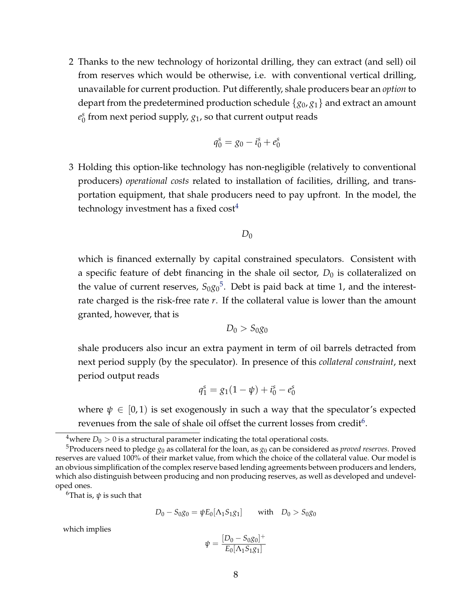2 Thanks to the new technology of horizontal drilling, they can extract (and sell) oil from reserves which would be otherwise, i.e. with conventional vertical drilling, unavailable for current production. Put differently, shale producers bear an *option* to depart from the predetermined production schedule {*g*0, *g*1} and extract an amount *e s*  $^{\mathrm{s}}_{0}$  from next period supply,  $g_{1}$ , so that current output reads

$$
q_0^s = g_0 - i_0^s + e_0^s
$$

3 Holding this option-like technology has non-negligible (relatively to conventional producers) *operational costs* related to installation of facilities, drilling, and transportation equipment, that shale producers need to pay upfront. In the model, the technology investment has a fixed  $cost<sup>4</sup>$ 

$$
D_0
$$

which is financed externally by capital constrained speculators. Consistent with a specific feature of debt financing in the shale oil sector,  $D_0$  is collateralized on the value of current reserves,  $S_{0}g_{0}^{5}$ . Debt is paid back at time 1, and the interestrate charged is the risk-free rate *r*. If the collateral value is lower than the amount granted, however, that is

$$
D_0 > S_0 g_0
$$

shale producers also incur an extra payment in term of oil barrels detracted from next period supply (by the speculator). In presence of this *collateral constraint*, next period output reads

$$
q_1^s = g_1(1 - \psi) + i_0^s - e_0^s
$$

where  $\psi \in [0,1)$  is set exogenously in such a way that the speculator's expected revenues from the sale of shale oil offset the current losses from credit $^6$ .

<sup>6</sup>That is,  $\psi$  is such that

$$
D_0 - S_0 g_0 = \psi E_0[\Lambda_1 S_1 g_1] \quad \text{with} \quad D_0 > S_0 g_0
$$

which implies

$$
\psi = \frac{[D_0 - S_0 g_0]^+}{E_0 [\Lambda_1 S_1 g_1]}
$$

<sup>&</sup>lt;sup>4</sup>where  $D_0 > 0$  is a structural parameter indicating the total operational costs.

<sup>&</sup>lt;sup>5</sup>Producers need to pledge  $g_0$  as collateral for the loan, as  $g_0$  can be considered as *proved reserves*. Proved reserves are valued 100% of their market value, from which the choice of the collateral value. Our model is an obvious simplification of the complex reserve based lending agreements between producers and lenders, which also distinguish between producing and non producing reserves, as well as developed and undeveloped ones.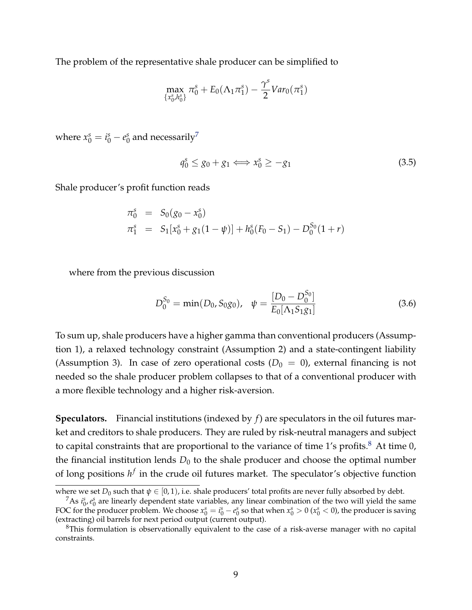The problem of the representative shale producer can be simplified to

$$
\max_{\{x_0^s, h_0^s\}} \pi_0^s + E_0(\Lambda_1 \pi_1^s) - \frac{\gamma^s}{2} Var_0(\pi_1^s)
$$

where  $x_0^s = i_0^s - e_0^s$  $_0^s$  and necessarily $^7$ 

$$
q_0^s \le g_0 + g_1 \Longleftrightarrow x_0^s \ge -g_1 \tag{3.5}
$$

Shale producer's profit function reads

$$
\begin{array}{rcl}\n\pi_0^s & = & S_0(g_0 - x_0^s) \\
\pi_1^s & = & S_1[x_0^s + g_1(1 - \psi)] + h_0^s(F_0 - S_1) - D_0^{S_0}(1 + r)\n\end{array}
$$

where from the previous discussion

$$
D_0^{S_0} = \min(D_0, S_0 g_0), \quad \psi = \frac{[D_0 - D_0^{S_0}]}{E_0[\Lambda_1 S_1 g_1]}
$$
(3.6)

To sum up, shale producers have a higher gamma than conventional producers (Assumption 1), a relaxed technology constraint (Assumption 2) and a state-contingent liability (Assumption 3). In case of zero operational costs  $(D_0 = 0)$ , external financing is not needed so the shale producer problem collapses to that of a conventional producer with a more flexible technology and a higher risk-aversion.

**Speculators.** Financial institutions (indexed by *f*) are speculators in the oil futures market and creditors to shale producers. They are ruled by risk-neutral managers and subject to capital constraints that are proportional to the variance of time 1's profits.<sup>8</sup> At time 0, the financial institution lends  $D_0$  to the shale producer and choose the optimal number of long positions  $h^f$  in the crude oil futures market. The speculator's objective function

where we set  $D_0$  such that  $\psi \in [0, 1)$ , i.e. shale producers' total profits are never fully absorbed by debt.

<sup>&</sup>lt;sup>7</sup>As  $i_0^s$ ,  $e_0^s$  are linearly dependent state variables, any linear combination of the two will yield the same FOC for the producer problem. We choose  $x_0^s = i_0^s - e_0^s$  so that when  $x_0^s > 0$  ( $x_0^s < 0$ ), the producer is saving (extracting) oil barrels for next period output (current output).

 ${}^{8}$ This formulation is observationally equivalent to the case of a risk-averse manager with no capital constraints.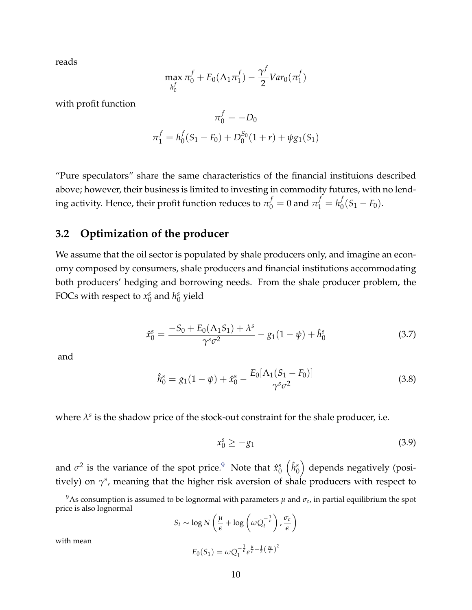reads

$$
\max_{h_0^f} \pi_0^f + E_0(\Lambda_1 \pi_1^f) - \frac{\gamma^f}{2} \text{Var}_0(\pi_1^f)
$$

with profit function

$$
\pi_0^f = -D_0
$$
  

$$
\pi_1^f = h_0^f(S_1 - F_0) + D_0^{S_0}(1+r) + \psi g_1(S_1)
$$

"Pure speculators" share the same characteristics of the financial instituions described above; however, their business is limited to investing in commodity futures, with no lend- $\frac{1}{2}$  ing activity. Hence, their profit function reduces to  $\pi_0^f=0$  and  $\pi_1^f=h_0^f$  $O_0^{\prime}(S_1-F_0).$ 

#### **3.2 Optimization of the producer**

We assume that the oil sector is populated by shale producers only, and imagine an economy composed by consumers, shale producers and financial institutions accommodating both producers' hedging and borrowing needs. From the shale producer problem, the FOCs with respect to *x s*  $\frac{s}{0}$  and  $h_0^s$  $_0^s$  yield

$$
\hat{x}_0^s = \frac{-S_0 + E_0(\Lambda_1 S_1) + \lambda^s}{\gamma^s \sigma^2} - g_1(1 - \psi) + \hat{h}_0^s \tag{3.7}
$$

and

$$
\hat{h}_0^s = g_1(1 - \psi) + \hat{x}_0^s - \frac{E_0[\Lambda_1(S_1 - F_0)]}{\gamma^s \sigma^2}
$$
\n(3.8)

where  $\lambda^s$  is the shadow price of the stock-out constraint for the shale producer, i.e.

$$
x_0^s \ge -g_1 \tag{3.9}
$$

and  $\sigma^2$  is the variance of the spot price.<sup>9</sup> Note that  $\hat{x}_0^s$  $_{0}^{s}\left( \hat{h}_{0}^{s}\right)$  $\binom{s}{0}$  depends negatively (positively) on  $\gamma^s$ , meaning that the higher risk aversion of shale producers with respect to

$$
S_t \sim \log N \left( \frac{\mu}{\epsilon} + \log \left( \omega Q_t^{-\frac{1}{\epsilon}} \right), \frac{\sigma_c}{\epsilon} \right)
$$

with mean

$$
E_0(S_1) = \omega Q_1^{-\frac{1}{\epsilon}} e^{\frac{\mu}{\epsilon} + \frac{1}{2}(\frac{\sigma_c}{\epsilon})^2}
$$

<sup>&</sup>lt;sup>9</sup>As consumption is assumed to be lognormal with parameters  $\mu$  and  $\sigma_c$ , in partial equilibrium the spot price is also lognormal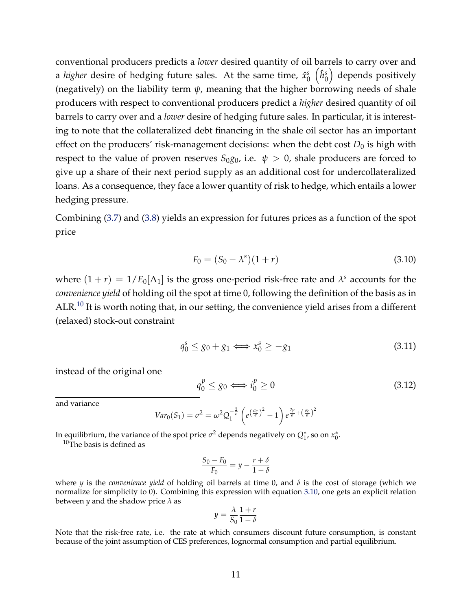conventional producers predicts a *lower* desired quantity of oil barrels to carry over and a *higher* desire of hedging future sales. At the same time, *x*ˆ *s*  $_{0}^{s}\left( \hat{h}_{0}^{s}\right)$  $\binom{s}{0}$  depends positively (negatively) on the liability term  $\psi$ , meaning that the higher borrowing needs of shale producers with respect to conventional producers predict a *higher* desired quantity of oil barrels to carry over and a *lower* desire of hedging future sales. In particular, it is interesting to note that the collateralized debt financing in the shale oil sector has an important effect on the producers' risk-management decisions: when the debt cost  $D_0$  is high with respect to the value of proven reserves  $S_{0}g_{0}$ , i.e.  $\psi > 0$ , shale producers are forced to give up a share of their next period supply as an additional cost for undercollateralized loans. As a consequence, they face a lower quantity of risk to hedge, which entails a lower hedging pressure.

Combining (3.7) and (3.8) yields an expression for futures prices as a function of the spot price

$$
F_0 = (S_0 - \lambda^s)(1+r)
$$
\n(3.10)

where  $(1 + r) = 1/E_0[\Lambda_1]$  is the gross one-period risk-free rate and  $\lambda^s$  accounts for the *convenience yield* of holding oil the spot at time 0, following the definition of the basis as in ALR.<sup>10</sup> It is worth noting that, in our setting, the convenience yield arises from a different (relaxed) stock-out constraint

$$
q_0^s \le g_0 + g_1 \Longleftrightarrow x_0^s \ge -g_1 \tag{3.11}
$$

instead of the original one

$$
q_0^p \le g_0 \Longleftrightarrow i_0^p \ge 0 \tag{3.12}
$$

and variance

$$
Var_0(S_1) = \sigma^2 = \omega^2 Q_1^{-\frac{2}{\epsilon}} \left( e^{\left(\frac{\sigma_c}{\epsilon}\right)^2} - 1 \right) e^{\frac{2\mu}{\epsilon} + \left(\frac{\sigma_c}{\epsilon}\right)^2}
$$

In equilibrium, the variance of the spot price  $\sigma^2$  depends negatively on  $Q_1^*$ , so on  $x_0^*$ .

 $10$ The basis is defined as

$$
\frac{S_0 - F_0}{F_0} = y - \frac{r + \delta}{1 - \delta}
$$

where *y* is the *convenience yield* of holding oil barrels at time 0, and *δ* is the cost of storage (which we normalize for simplicity to 0). Combining this expression with equation 3.10, one gets an explicit relation between *y* and the shadow price  $\lambda$  as

$$
y = \frac{\lambda}{S_0} \frac{1+r}{1-\delta}
$$

Note that the risk-free rate, i.e. the rate at which consumers discount future consumption, is constant because of the joint assumption of CES preferences, lognormal consumption and partial equilibrium.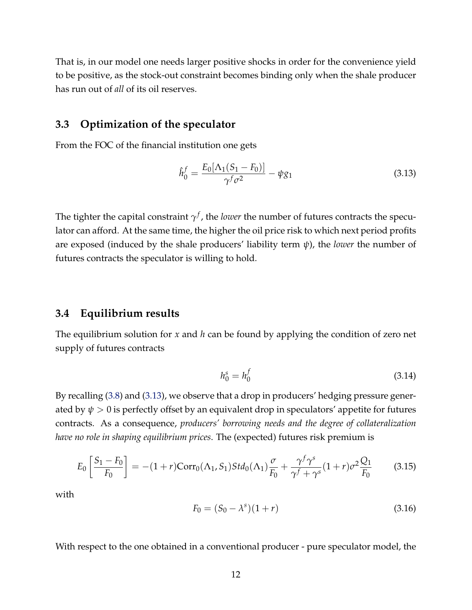That is, in our model one needs larger positive shocks in order for the convenience yield to be positive, as the stock-out constraint becomes binding only when the shale producer has run out of *all* of its oil reserves.

#### **3.3 Optimization of the speculator**

From the FOC of the financial institution one gets

$$
\hat{h}_0^f = \frac{E_0[\Lambda_1(S_1 - F_0)]}{\gamma^f \sigma^2} - \psi g_1 \tag{3.13}
$$

The tighter the capital constraint  $\gamma^f$ , the *lower* the number of futures contracts the speculator can afford. At the same time, the higher the oil price risk to which next period profits are exposed (induced by the shale producers' liability term *ψ*), the *lower* the number of futures contracts the speculator is willing to hold.

#### **3.4 Equilibrium results**

The equilibrium solution for *x* and *h* can be found by applying the condition of zero net supply of futures contracts

$$
h_0^s = h_0^f \tag{3.14}
$$

By recalling (3.8) and (3.13), we observe that a drop in producers' hedging pressure generated by  $\psi > 0$  is perfectly offset by an equivalent drop in speculators' appetite for futures contracts. As a consequence, *producers' borrowing needs and the degree of collateralization have no role in shaping equilibrium prices*. The (expected) futures risk premium is

$$
E_0 \left[ \frac{S_1 - F_0}{F_0} \right] = -(1+r)\text{Corr}_0(\Lambda_1, S_1)Std_0(\Lambda_1) \frac{\sigma}{F_0} + \frac{\gamma^f \gamma^s}{\gamma^f + \gamma^s} (1+r)\sigma^2 \frac{Q_1}{F_0}
$$
(3.15)

with

$$
F_0 = (S_0 - \lambda^s)(1+r)
$$
\n(3.16)

With respect to the one obtained in a conventional producer - pure speculator model, the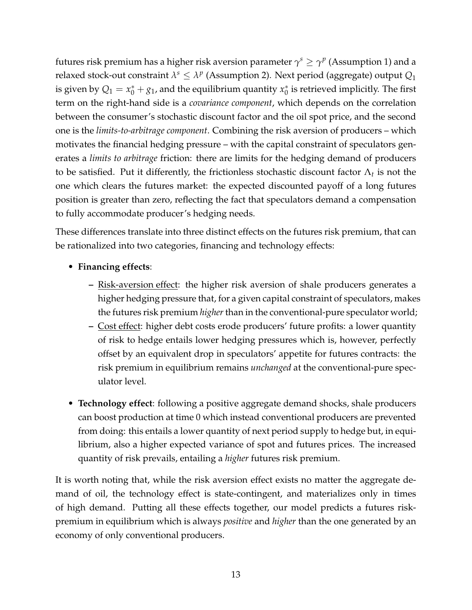futures risk premium has a higher risk aversion parameter  $\gamma^s \geq \gamma^p$  (Assumption 1) and a relaxed stock-out constraint  $\lambda^s \leq \lambda^p$  (Assumption 2). Next period (aggregate) output  $Q_1$ is given by  $Q_1 = x_0^* + g_1$ , and the equilibrium quantity  $x_0^*$  $_0^*$  is retrieved implicitly. The first term on the right-hand side is a *covariance component*, which depends on the correlation between the consumer's stochastic discount factor and the oil spot price, and the second one is the *limits-to-arbitrage component*. Combining the risk aversion of producers – which motivates the financial hedging pressure – with the capital constraint of speculators generates a *limits to arbitrage* friction: there are limits for the hedging demand of producers to be satisfied. Put it differently, the frictionless stochastic discount factor  $\Lambda_t$  is not the one which clears the futures market: the expected discounted payoff of a long futures position is greater than zero, reflecting the fact that speculators demand a compensation to fully accommodate producer's hedging needs.

These differences translate into three distinct effects on the futures risk premium, that can be rationalized into two categories, financing and technology effects:

- **Financing effects**:
	- **–** Risk-aversion effect: the higher risk aversion of shale producers generates a higher hedging pressure that, for a given capital constraint of speculators, makes the futures risk premium *higher*than in the conventional-pure speculator world;
	- **–** Cost effect: higher debt costs erode producers' future profits: a lower quantity of risk to hedge entails lower hedging pressures which is, however, perfectly offset by an equivalent drop in speculators' appetite for futures contracts: the risk premium in equilibrium remains *unchanged* at the conventional-pure speculator level.
- **Technology effect**: following a positive aggregate demand shocks, shale producers can boost production at time 0 which instead conventional producers are prevented from doing: this entails a lower quantity of next period supply to hedge but, in equilibrium, also a higher expected variance of spot and futures prices. The increased quantity of risk prevails, entailing a *higher* futures risk premium.

It is worth noting that, while the risk aversion effect exists no matter the aggregate demand of oil, the technology effect is state-contingent, and materializes only in times of high demand. Putting all these effects together, our model predicts a futures riskpremium in equilibrium which is always *positive* and *higher* than the one generated by an economy of only conventional producers.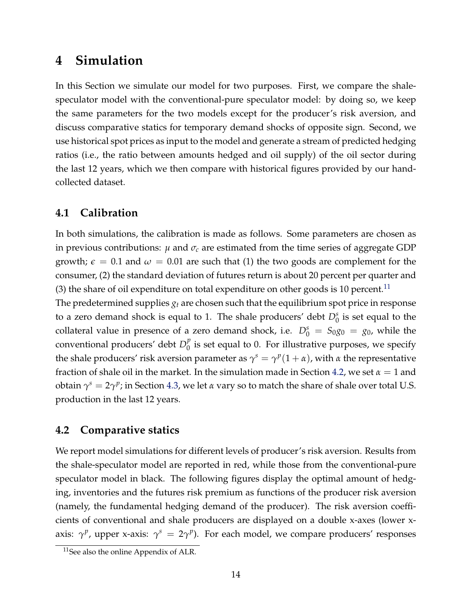## **4 Simulation**

In this Section we simulate our model for two purposes. First, we compare the shalespeculator model with the conventional-pure speculator model: by doing so, we keep the same parameters for the two models except for the producer's risk aversion, and discuss comparative statics for temporary demand shocks of opposite sign. Second, we use historical spot prices as input to the model and generate a stream of predicted hedging ratios (i.e., the ratio between amounts hedged and oil supply) of the oil sector during the last 12 years, which we then compare with historical figures provided by our handcollected dataset.

#### **4.1 Calibration**

In both simulations, the calibration is made as follows. Some parameters are chosen as in previous contributions:  $\mu$  and  $\sigma_c$  are estimated from the time series of aggregate GDP growth;  $\epsilon = 0.1$  and  $\omega = 0.01$  are such that (1) the two goods are complement for the consumer, (2) the standard deviation of futures return is about 20 percent per quarter and (3) the share of oil expenditure on total expenditure on other goods is 10 percent.<sup>11</sup>

The predetermined supplies *g<sup>t</sup>* are chosen such that the equilibrium spot price in response to a zero demand shock is equal to 1. The shale producers' debt  $D_0^s$  is set equal to the collateral value in presence of a zero demand shock, i.e.  $D_0^s = S_{0g0} = g_0$ , while the conventional producers' debt *D p*  $\frac{p}{0}$  is set equal to 0. For illustrative purposes, we specify the shale producers' risk aversion parameter as  $\gamma^s = \gamma^p (1 + \alpha)$ , with  $\alpha$  the representative fraction of shale oil in the market. In the simulation made in Section 4.2, we set  $\alpha = 1$  and obtain  $\gamma^s = 2\gamma^p$ ; in Section 4.3, we let *α* vary so to match the share of shale over total U.S. production in the last 12 years.

#### **4.2 Comparative statics**

We report model simulations for different levels of producer's risk aversion. Results from the shale-speculator model are reported in red, while those from the conventional-pure speculator model in black. The following figures display the optimal amount of hedging, inventories and the futures risk premium as functions of the producer risk aversion (namely, the fundamental hedging demand of the producer). The risk aversion coefficients of conventional and shale producers are displayed on a double x-axes (lower xaxis:  $\gamma^p$ , upper x-axis:  $\gamma^s = 2\gamma^p$ ). For each model, we compare producers' responses

<sup>11</sup>See also the online Appendix of ALR.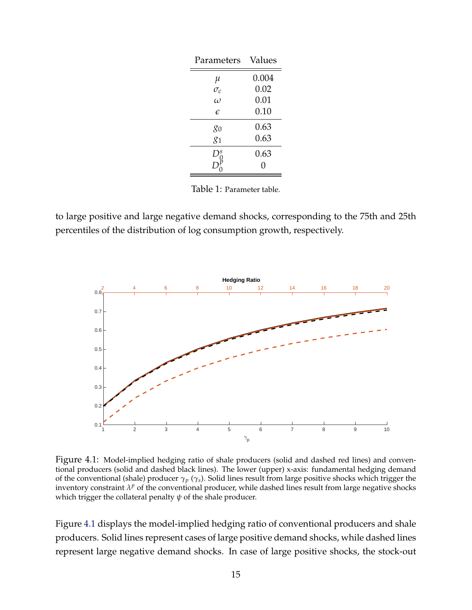| Parameters             | Values |  |  |
|------------------------|--------|--|--|
|                        | 0.004  |  |  |
| $\frac{\mu}{\sigma_c}$ | 0.02   |  |  |
| $\omega$               | 0.01   |  |  |
| E                      | 0.10   |  |  |
| 80                     | 0.63   |  |  |
| $g_1$                  | 0.63   |  |  |
| S                      | 0.63   |  |  |
|                        | 0      |  |  |

Table 1: Parameter table.

to large positive and large negative demand shocks, corresponding to the 75th and 25th percentiles of the distribution of log consumption growth, respectively.



Figure 4.1: Model-implied hedging ratio of shale producers (solid and dashed red lines) and conventional producers (solid and dashed black lines). The lower (upper) x-axis: fundamental hedging demand of the conventional (shale) producer *γp* (*γs*). Solid lines result from large positive shocks which trigger the inventory constraint  $\lambda^p$  of the conventional producer, while dashed lines result from large negative shocks which trigger the collateral penalty *ψ* of the shale producer.

Figure 4.1 displays the model-implied hedging ratio of conventional producers and shale producers. Solid lines represent cases of large positive demand shocks, while dashed lines represent large negative demand shocks. In case of large positive shocks, the stock-out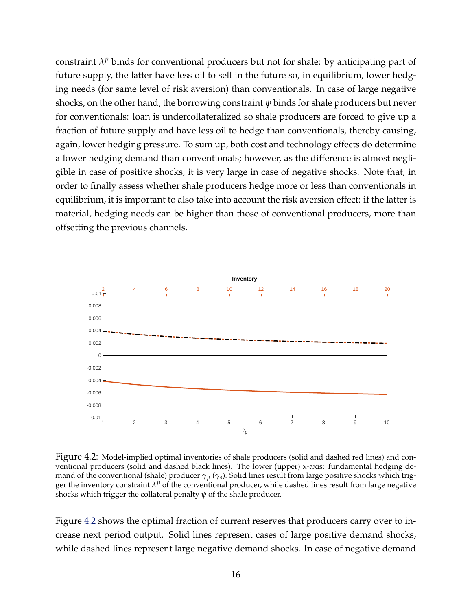constraint  $\lambda^p$  binds for conventional producers but not for shale: by anticipating part of future supply, the latter have less oil to sell in the future so, in equilibrium, lower hedging needs (for same level of risk aversion) than conventionals. In case of large negative shocks, on the other hand, the borrowing constraint *ψ* binds for shale producers but never for conventionals: loan is undercollateralized so shale producers are forced to give up a fraction of future supply and have less oil to hedge than conventionals, thereby causing, again, lower hedging pressure. To sum up, both cost and technology effects do determine a lower hedging demand than conventionals; however, as the difference is almost negligible in case of positive shocks, it is very large in case of negative shocks. Note that, in order to finally assess whether shale producers hedge more or less than conventionals in equilibrium, it is important to also take into account the risk aversion effect: if the latter is material, hedging needs can be higher than those of conventional producers, more than offsetting the previous channels.



Figure 4.2: Model-implied optimal inventories of shale producers (solid and dashed red lines) and conventional producers (solid and dashed black lines). The lower (upper) x-axis: fundamental hedging demand of the conventional (shale) producer  $\gamma_p$  ( $\gamma_s$ ). Solid lines result from large positive shocks which trigger the inventory constraint  $\lambda^p$  of the conventional producer, while dashed lines result from large negative shocks which trigger the collateral penalty *ψ* of the shale producer.

Figure 4.2 shows the optimal fraction of current reserves that producers carry over to increase next period output. Solid lines represent cases of large positive demand shocks, while dashed lines represent large negative demand shocks. In case of negative demand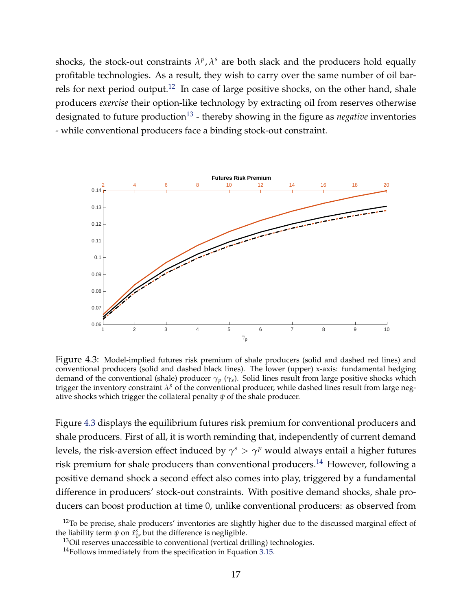shocks, the stock-out constraints  $\lambda^p$ ,  $\lambda^s$  are both slack and the producers hold equally profitable technologies. As a result, they wish to carry over the same number of oil barrels for next period output.<sup>12</sup> In case of large positive shocks, on the other hand, shale producers *exercise* their option-like technology by extracting oil from reserves otherwise designated to future production<sup>13</sup> - thereby showing in the figure as *negative* inventories - while conventional producers face a binding stock-out constraint.



Figure 4.3: Model-implied futures risk premium of shale producers (solid and dashed red lines) and conventional producers (solid and dashed black lines). The lower (upper) x-axis: fundamental hedging demand of the conventional (shale) producer *γp* (*γs*). Solid lines result from large positive shocks which trigger the inventory constraint  $\lambda^p$  of the conventional producer, while dashed lines result from large negative shocks which trigger the collateral penalty *ψ* of the shale producer.

Figure 4.3 displays the equilibrium futures risk premium for conventional producers and shale producers. First of all, it is worth reminding that, independently of current demand levels, the risk-aversion effect induced by  $\gamma^s > \gamma^p$  would always entail a higher futures risk premium for shale producers than conventional producers.<sup>14</sup> However, following a positive demand shock a second effect also comes into play, triggered by a fundamental difference in producers' stock-out constraints. With positive demand shocks, shale producers can boost production at time 0, unlike conventional producers: as observed from

 $12$ To be precise, shale producers' inventories are slightly higher due to the discussed marginal effect of the liability term  $\psi$  on  $\hat{x}_0^s$ , but the difference is negligible.

<sup>&</sup>lt;sup>13</sup>Oil reserves unaccessible to conventional (vertical drilling) technologies.

 $14$  Follows immediately from the specification in Equation 3.15.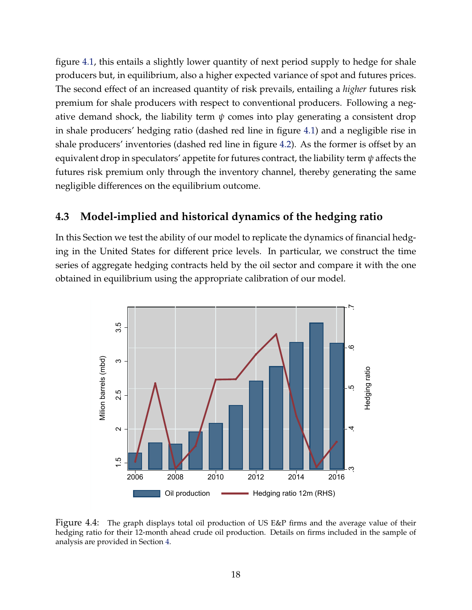figure 4.1, this entails a slightly lower quantity of next period supply to hedge for shale producers but, in equilibrium, also a higher expected variance of spot and futures prices. The second effect of an increased quantity of risk prevails, entailing a *higher* futures risk premium for shale producers with respect to conventional producers. Following a negative demand shock, the liability term  $\psi$  comes into play generating a consistent drop in shale producers' hedging ratio (dashed red line in figure 4.1) and a negligible rise in shale producers' inventories (dashed red line in figure 4.2). As the former is offset by an equivalent drop in speculators' appetite for futures contract, the liability term *ψ* affects the futures risk premium only through the inventory channel, thereby generating the same negligible differences on the equilibrium outcome.

#### **4.3 Model-implied and historical dynamics of the hedging ratio**

In this Section we test the ability of our model to replicate the dynamics of financial hedging in the United States for different price levels. In particular, we construct the time series of aggregate hedging contracts held by the oil sector and compare it with the one obtained in equilibrium using the appropriate calibration of our model.



Figure 4.4: The graph displays total oil production of US E&P firms and the average value of their hedging ratio for their 12-month ahead crude oil production. Details on firms included in the sample of analysis are provided in Section 4.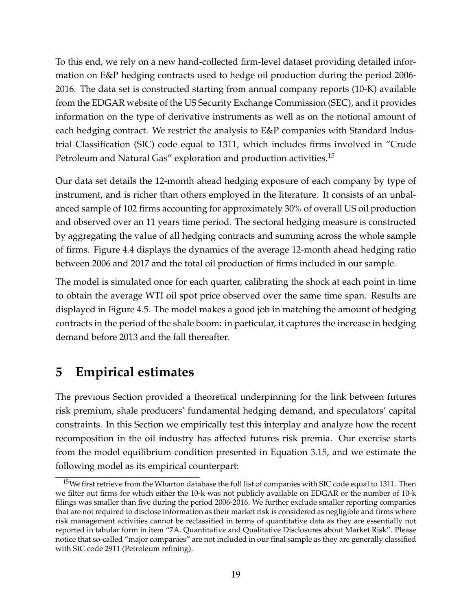To this end, we rely on a new hand-collected firm-level dataset providing detailed information on E&P hedging contracts used to hedge oil production during the period 2006- 2016. The data set is constructed starting from annual company reports (10-K) available from the EDGAR website of the US Security Exchange Commission (SEC), and it provides information on the type of derivative instruments as well as on the notional amount of each hedging contract. We restrict the analysis to E&P companies with Standard Industrial Classification (SIC) code equal to 1311, which includes firms involved in "Crude Petroleum and Natural Gas" exploration and production activities.<sup>15</sup>

Our data set details the 12-month ahead hedging exposure of each company by type of instrument, and is richer than others employed in the literature. It consists of an unbalanced sample of 102 firms accounting for approximately 30% of overall US oil production and observed over an 11 years time period. The sectoral hedging measure is constructed by aggregating the value of all hedging contracts and summing across the whole sample of firms. Figure 4.4 displays the dynamics of the average 12-month ahead hedging ratio between 2006 and 2017 and the total oil production of firms included in our sample.

The model is simulated once for each quarter, calibrating the shock at each point in time to obtain the average WTI oil spot price observed over the same time span. Results are displayed in Figure 4.5. The model makes a good job in matching the amount of hedging contracts in the period of the shale boom: in particular, it captures the increase in hedging demand before 2013 and the fall thereafter.

## **5 Empirical estimates**

The previous Section provided a theoretical underpinning for the link between futures risk premium, shale producers' fundamental hedging demand, and speculators' capital constraints. In this Section we empirically test this interplay and analyze how the recent recomposition in the oil industry has affected futures risk premia. Our exercise starts from the model equilibrium condition presented in Equation 3.15, and we estimate the following model as its empirical counterpart:

<sup>&</sup>lt;sup>15</sup>We first retrieve from the Wharton database the full list of companies with SIC code equal to 1311. Then we filter out firms for which either the 10-k was not publicly available on EDGAR or the number of 10-k filings was smaller than five during the period 2006-2016. We further exclude smaller reporting companies that are not required to disclose information as their market risk is considered as negligible and firms where risk management activities cannot be reclassified in terms of quantitative data as they are essentially not reported in tabular form in item "7A. Quantitative and Qualitative Disclosures about Market Risk". Please notice that so-called "major companies" are not included in our final sample as they are generally classified with SIC code 2911 (Petroleum refining).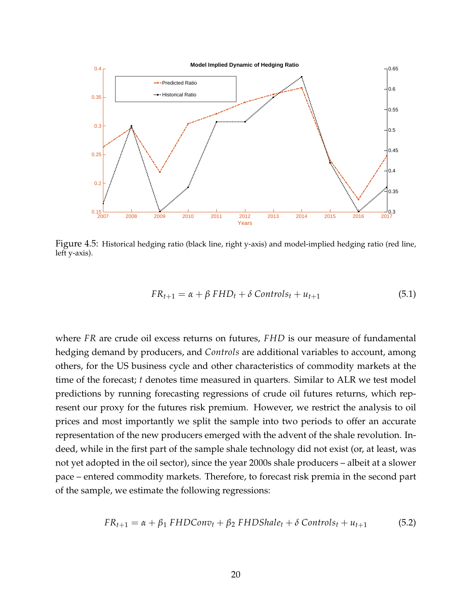

Figure 4.5: Historical hedging ratio (black line, right y-axis) and model-implied hedging ratio (red line, left y-axis).

$$
FR_{t+1} = \alpha + \beta FHD_t + \delta \text{ Controls}_t + u_{t+1}
$$
\n
$$
(5.1)
$$

where *FR* are crude oil excess returns on futures, *FHD* is our measure of fundamental hedging demand by producers, and *Controls* are additional variables to account, among others, for the US business cycle and other characteristics of commodity markets at the time of the forecast; *t* denotes time measured in quarters. Similar to ALR we test model predictions by running forecasting regressions of crude oil futures returns, which represent our proxy for the futures risk premium. However, we restrict the analysis to oil prices and most importantly we split the sample into two periods to offer an accurate representation of the new producers emerged with the advent of the shale revolution. Indeed, while in the first part of the sample shale technology did not exist (or, at least, was not yet adopted in the oil sector), since the year 2000s shale producers – albeit at a slower pace – entered commodity markets. Therefore, to forecast risk premia in the second part of the sample, we estimate the following regressions:

$$
FR_{t+1} = \alpha + \beta_1 \, FHDCon v_t + \beta_2 \, FHDShale_t + \delta \, Controls_t + u_{t+1} \tag{5.2}
$$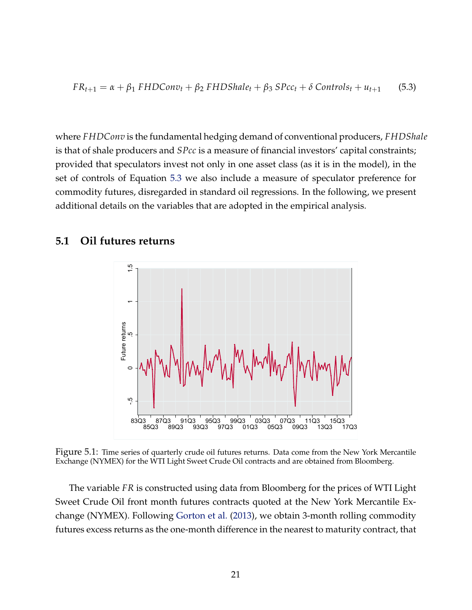$$
FR_{t+1} = \alpha + \beta_1 \, FHDCon v_t + \beta_2 \, FHDShale_t + \beta_3 \, Spec_t + \delta \, Controls_t + u_{t+1} \qquad (5.3)
$$

where *FHDConv* is the fundamental hedging demand of conventional producers, *FHDShale* is that of shale producers and *SPcc* is a measure of financial investors' capital constraints; provided that speculators invest not only in one asset class (as it is in the model), in the set of controls of Equation 5.3 we also include a measure of speculator preference for commodity futures, disregarded in standard oil regressions. In the following, we present additional details on the variables that are adopted in the empirical analysis.

#### **5.1 Oil futures returns**



Figure 5.1: Time series of quarterly crude oil futures returns. Data come from the New York Mercantile Exchange (NYMEX) for the WTI Light Sweet Crude Oil contracts and are obtained from Bloomberg.

The variable *FR* is constructed using data from Bloomberg for the prices of WTI Light Sweet Crude Oil front month futures contracts quoted at the New York Mercantile Exchange (NYMEX). Following Gorton et al. (2013), we obtain 3-month rolling commodity futures excess returns as the one-month difference in the nearest to maturity contract, that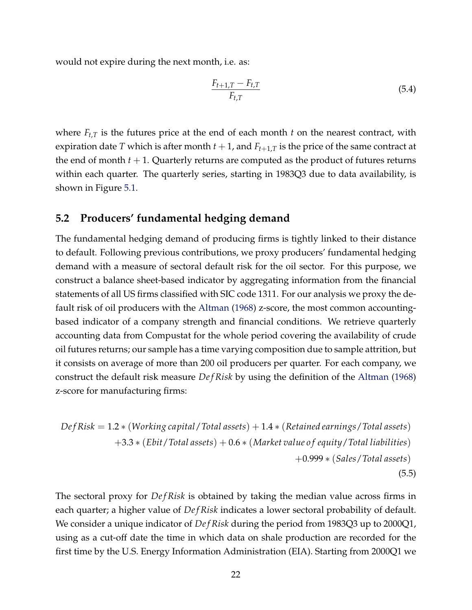would not expire during the next month, i.e. as:

$$
\frac{F_{t+1,T} - F_{t,T}}{F_{t,T}}\tag{5.4}
$$

where *Ft*,*<sup>T</sup>* is the futures price at the end of each month *t* on the nearest contract, with expiration date *T* which is after month  $t + 1$ , and  $F_{t+1,T}$  is the price of the same contract at the end of month  $t + 1$ . Quarterly returns are computed as the product of futures returns within each quarter. The quarterly series, starting in 1983Q3 due to data availability, is shown in Figure 5.1.

#### **5.2 Producers' fundamental hedging demand**

The fundamental hedging demand of producing firms is tightly linked to their distance to default. Following previous contributions, we proxy producers' fundamental hedging demand with a measure of sectoral default risk for the oil sector. For this purpose, we construct a balance sheet-based indicator by aggregating information from the financial statements of all US firms classified with SIC code 1311. For our analysis we proxy the default risk of oil producers with the Altman (1968) z-score, the most common accountingbased indicator of a company strength and financial conditions. We retrieve quarterly accounting data from Compustat for the whole period covering the availability of crude oil futures returns; our sample has a time varying composition due to sample attrition, but it consists on average of more than 200 oil producers per quarter. For each company, we construct the default risk measure *Def Risk* by using the definition of the Altman (1968) z-score for manufacturing firms:

$$
DefRisk = 1.2 * (Working capital / Total assets) + 1.4 * (Retained earnings / Total assets) + 3.3 * (Ebit / Total assets) + 0.6 * (Market value of equity / Total liabilities) + 0.999 * (Sales / Total assets)
$$
\n(5.5)

The sectoral proxy for *De f Risk* is obtained by taking the median value across firms in each quarter; a higher value of *De f Risk* indicates a lower sectoral probability of default. We consider a unique indicator of *Def Risk* during the period from 1983Q3 up to 2000Q1, using as a cut-off date the time in which data on shale production are recorded for the first time by the U.S. Energy Information Administration (EIA). Starting from 2000Q1 we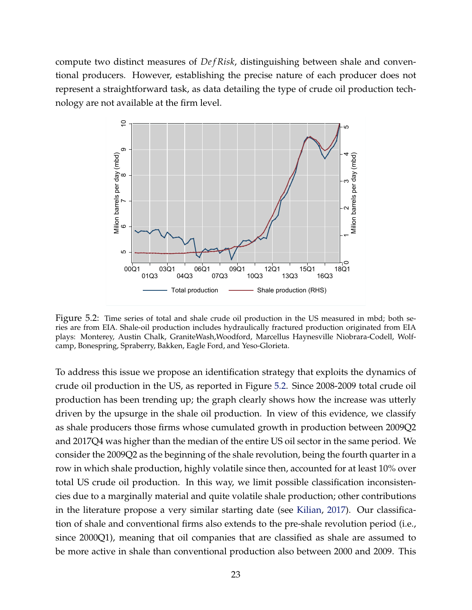compute two distinct measures of *Def Risk*, distinguishing between shale and conventional producers. However, establishing the precise nature of each producer does not represent a straightforward task, as data detailing the type of crude oil production technology are not available at the firm level.



Figure 5.2: Time series of total and shale crude oil production in the US measured in mbd; both series are from EIA. Shale-oil production includes hydraulically fractured production originated from EIA plays: Monterey, Austin Chalk, GraniteWash,Woodford, Marcellus Haynesville Niobrara-Codell, Wolfcamp, Bonespring, Spraberry, Bakken, Eagle Ford, and Yeso-Glorieta.

To address this issue we propose an identification strategy that exploits the dynamics of crude oil production in the US, as reported in Figure 5.2. Since 2008-2009 total crude oil production has been trending up; the graph clearly shows how the increase was utterly driven by the upsurge in the shale oil production. In view of this evidence, we classify as shale producers those firms whose cumulated growth in production between 2009Q2 and 2017Q4 was higher than the median of the entire US oil sector in the same period. We consider the 2009Q2 as the beginning of the shale revolution, being the fourth quarter in a row in which shale production, highly volatile since then, accounted for at least 10% over total US crude oil production. In this way, we limit possible classification inconsistencies due to a marginally material and quite volatile shale production; other contributions in the literature propose a very similar starting date (see Kilian, 2017). Our classification of shale and conventional firms also extends to the pre-shale revolution period (i.e., since 2000Q1), meaning that oil companies that are classified as shale are assumed to be more active in shale than conventional production also between 2000 and 2009. This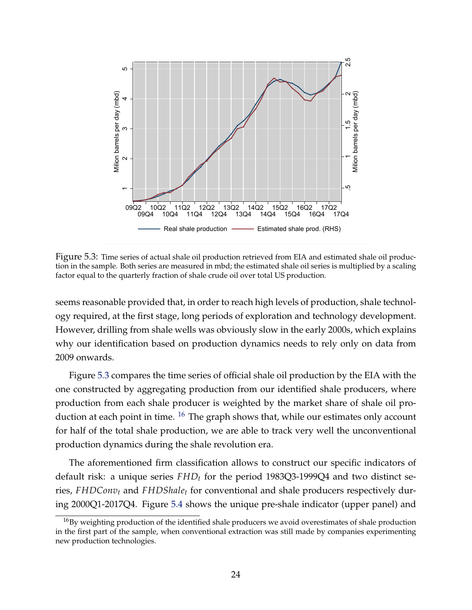

Figure 5.3: Time series of actual shale oil production retrieved from EIA and estimated shale oil production in the sample. Both series are measured in mbd; the estimated shale oil series is multiplied by a scaling factor equal to the quarterly fraction of shale crude oil over total US production.

seems reasonable provided that, in order to reach high levels of production, shale technology required, at the first stage, long periods of exploration and technology development. However, drilling from shale wells was obviously slow in the early 2000s, which explains why our identification based on production dynamics needs to rely only on data from 2009 onwards.

Figure 5.3 compares the time series of official shale oil production by the EIA with the one constructed by aggregating production from our identified shale producers, where production from each shale producer is weighted by the market share of shale oil production at each point in time.  $16$  The graph shows that, while our estimates only account for half of the total shale production, we are able to track very well the unconventional production dynamics during the shale revolution era.

The aforementioned firm classification allows to construct our specific indicators of default risk: a unique series *FHD<sup>t</sup>* for the period 1983Q3-1999Q4 and two distinct series, *FHDConv<sup>t</sup>* and *FHDShale<sup>t</sup>* for conventional and shale producers respectively during 2000Q1-2017Q4. Figure 5.4 shows the unique pre-shale indicator (upper panel) and

<sup>&</sup>lt;sup>16</sup>By weighting production of the identified shale producers we avoid overestimates of shale production in the first part of the sample, when conventional extraction was still made by companies experimenting new production technologies.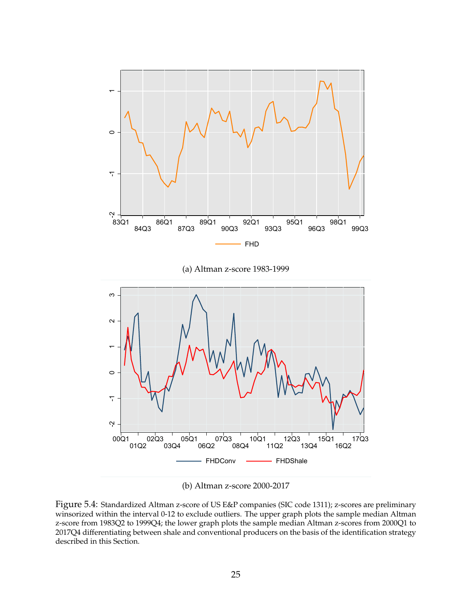

(b) Altman z-score 2000-2017

Figure 5.4: Standardized Altman z-score of US E&P companies (SIC code 1311); z-scores are preliminary winsorized within the interval 0-12 to exclude outliers. The upper graph plots the sample median Altman z-score from 1983Q2 to 1999Q4; the lower graph plots the sample median Altman z-scores from 2000Q1 to 2017Q4 differentiating between shale and conventional producers on the basis of the identification strategy described in this Section.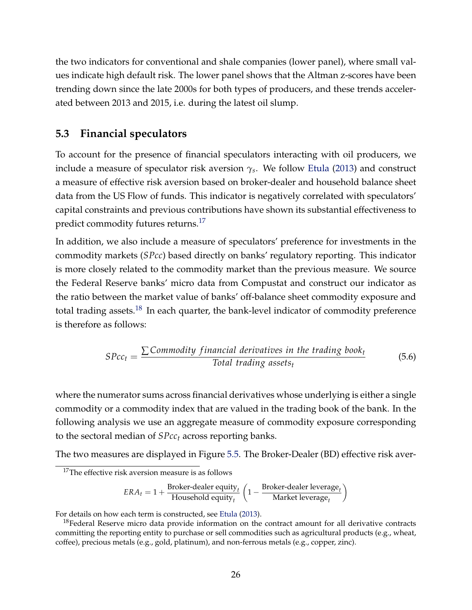the two indicators for conventional and shale companies (lower panel), where small values indicate high default risk. The lower panel shows that the Altman z-scores have been trending down since the late 2000s for both types of producers, and these trends accelerated between 2013 and 2015, i.e. during the latest oil slump.

#### **5.3 Financial speculators**

To account for the presence of financial speculators interacting with oil producers, we include a measure of speculator risk aversion *γ<sup>s</sup>* . We follow Etula (2013) and construct a measure of effective risk aversion based on broker-dealer and household balance sheet data from the US Flow of funds. This indicator is negatively correlated with speculators' capital constraints and previous contributions have shown its substantial effectiveness to predict commodity futures returns.<sup>17</sup>

In addition, we also include a measure of speculators' preference for investments in the commodity markets (*SPcc*) based directly on banks' regulatory reporting. This indicator is more closely related to the commodity market than the previous measure. We source the Federal Reserve banks' micro data from Compustat and construct our indicator as the ratio between the market value of banks' off-balance sheet commodity exposure and total trading assets.<sup>18</sup> In each quarter, the bank-level indicator of commodity preference is therefore as follows:

$$
SPcc_t = \frac{\sum \text{Commodity financial derivatives in the trading book_t}}{\text{Total trading assets}_t}
$$
(5.6)

where the numerator sums across financial derivatives whose underlying is either a single commodity or a commodity index that are valued in the trading book of the bank. In the following analysis we use an aggregate measure of commodity exposure corresponding to the sectoral median of *SPcc<sup>t</sup>* across reporting banks.

The two measures are displayed in Figure 5.5. The Broker-Dealer (BD) effective risk aver-

$$
ERA_t = 1 + \frac{\text{Broker-dealer equity}_t}{\text{Household equity}_t}\left(1 - \frac{\text{Broker-dealer leverage}_t}{\text{Market leverage}_t}\right)
$$

For details on how each term is constructed, see Etula (2013).

 $17$ The effective risk aversion measure is as follows

<sup>&</sup>lt;sup>18</sup>Federal Reserve micro data provide information on the contract amount for all derivative contracts committing the reporting entity to purchase or sell commodities such as agricultural products (e.g., wheat, coffee), precious metals (e.g., gold, platinum), and non-ferrous metals (e.g., copper, zinc).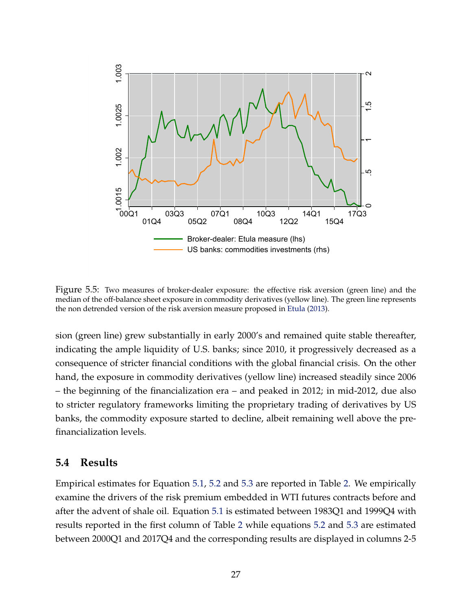

Figure 5.5: Two measures of broker-dealer exposure: the effective risk aversion (green line) and the median of the off-balance sheet exposure in commodity derivatives (yellow line). The green line represents the non detrended version of the risk aversion measure proposed in Etula (2013).

sion (green line) grew substantially in early 2000's and remained quite stable thereafter, indicating the ample liquidity of U.S. banks; since 2010, it progressively decreased as a consequence of stricter financial conditions with the global financial crisis. On the other hand, the exposure in commodity derivatives (yellow line) increased steadily since 2006 – the beginning of the financialization era – and peaked in 2012; in mid-2012, due also to stricter regulatory frameworks limiting the proprietary trading of derivatives by US banks, the commodity exposure started to decline, albeit remaining well above the prefinancialization levels.

#### **5.4 Results**

Empirical estimates for Equation 5.1, 5.2 and 5.3 are reported in Table 2. We empirically examine the drivers of the risk premium embedded in WTI futures contracts before and after the advent of shale oil. Equation 5.1 is estimated between 1983Q1 and 1999Q4 with results reported in the first column of Table 2 while equations 5.2 and 5.3 are estimated between 2000Q1 and 2017Q4 and the corresponding results are displayed in columns 2-5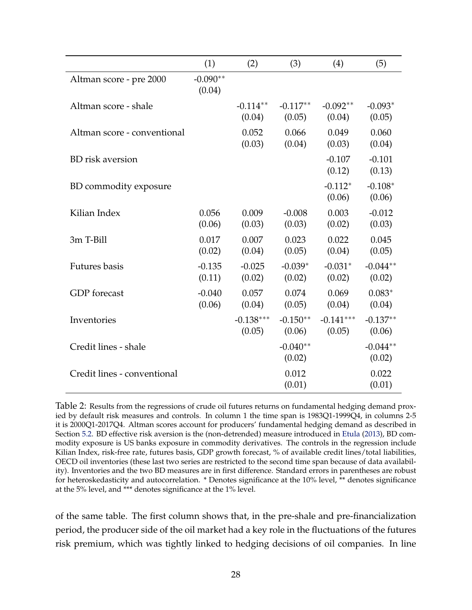|                             | (1)                  | (2)                   | (3)                  | (4)                   | (5)                  |
|-----------------------------|----------------------|-----------------------|----------------------|-----------------------|----------------------|
| Altman score - pre 2000     | $-0.090**$<br>(0.04) |                       |                      |                       |                      |
| Altman score - shale        |                      | $-0.114**$<br>(0.04)  | $-0.117**$<br>(0.05) | $-0.092**$<br>(0.04)  | $-0.093*$<br>(0.05)  |
| Altman score - conventional |                      | 0.052<br>(0.03)       | 0.066<br>(0.04)      | 0.049<br>(0.03)       | 0.060<br>(0.04)      |
| <b>BD</b> risk aversion     |                      |                       |                      | $-0.107$<br>(0.12)    | $-0.101$<br>(0.13)   |
| BD commodity exposure       |                      |                       |                      | $-0.112*$<br>(0.06)   | $-0.108*$<br>(0.06)  |
| Kilian Index                | 0.056<br>(0.06)      | 0.009<br>(0.03)       | $-0.008$<br>(0.03)   | 0.003<br>(0.02)       | $-0.012$<br>(0.03)   |
| 3m T-Bill                   | 0.017<br>(0.02)      | 0.007<br>(0.04)       | 0.023<br>(0.05)      | 0.022<br>(0.04)       | 0.045<br>(0.05)      |
| <b>Futures</b> basis        | $-0.135$<br>(0.11)   | $-0.025$<br>(0.02)    | $-0.039*$<br>(0.02)  | $-0.031*$<br>(0.02)   | $-0.044**$<br>(0.02) |
| <b>GDP</b> forecast         | $-0.040$<br>(0.06)   | 0.057<br>(0.04)       | 0.074<br>(0.05)      | 0.069<br>(0.04)       | $0.083*$<br>(0.04)   |
| Inventories                 |                      | $-0.138***$<br>(0.05) | $-0.150**$<br>(0.06) | $-0.141***$<br>(0.05) | $-0.137**$<br>(0.06) |
| Credit lines - shale        |                      |                       | $-0.040**$<br>(0.02) |                       | $-0.044**$<br>(0.02) |
| Credit lines - conventional |                      |                       | 0.012<br>(0.01)      |                       | 0.022<br>(0.01)      |

Table 2: Results from the regressions of crude oil futures returns on fundamental hedging demand proxied by default risk measures and controls. In column 1 the time span is 1983Q1-1999Q4, in columns 2-5 it is 2000Q1-2017Q4. Altman scores account for producers' fundamental hedging demand as described in Section 5.2. BD effective risk aversion is the (non-detrended) measure introduced in Etula (2013), BD commodity exposure is US banks exposure in commodity derivatives. The controls in the regression include Kilian Index, risk-free rate, futures basis, GDP growth forecast, % of available credit lines/total liabilities, OECD oil inventories (these last two series are restricted to the second time span because of data availability). Inventories and the two BD measures are in first difference. Standard errors in parentheses are robust for heteroskedasticity and autocorrelation. \* Denotes significance at the 10% level, \*\* denotes significance at the 5% level, and \*\*\* denotes significance at the 1% level.

of the same table. The first column shows that, in the pre-shale and pre-financialization period, the producer side of the oil market had a key role in the fluctuations of the futures risk premium, which was tightly linked to hedging decisions of oil companies. In line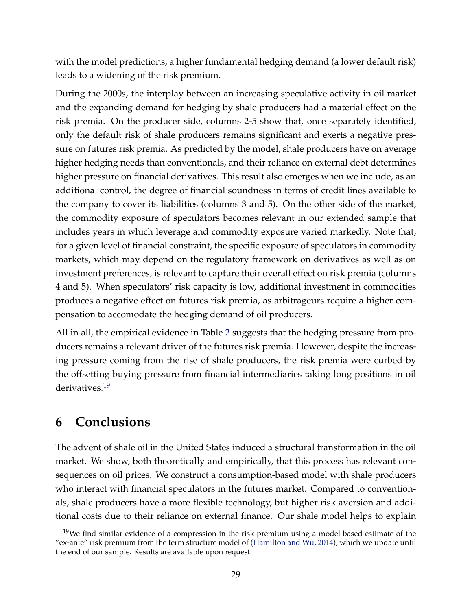with the model predictions, a higher fundamental hedging demand (a lower default risk) leads to a widening of the risk premium.

During the 2000s, the interplay between an increasing speculative activity in oil market and the expanding demand for hedging by shale producers had a material effect on the risk premia. On the producer side, columns 2-5 show that, once separately identified, only the default risk of shale producers remains significant and exerts a negative pressure on futures risk premia. As predicted by the model, shale producers have on average higher hedging needs than conventionals, and their reliance on external debt determines higher pressure on financial derivatives. This result also emerges when we include, as an additional control, the degree of financial soundness in terms of credit lines available to the company to cover its liabilities (columns 3 and 5). On the other side of the market, the commodity exposure of speculators becomes relevant in our extended sample that includes years in which leverage and commodity exposure varied markedly. Note that, for a given level of financial constraint, the specific exposure of speculators in commodity markets, which may depend on the regulatory framework on derivatives as well as on investment preferences, is relevant to capture their overall effect on risk premia (columns 4 and 5). When speculators' risk capacity is low, additional investment in commodities produces a negative effect on futures risk premia, as arbitrageurs require a higher compensation to accomodate the hedging demand of oil producers.

All in all, the empirical evidence in Table 2 suggests that the hedging pressure from producers remains a relevant driver of the futures risk premia. However, despite the increasing pressure coming from the rise of shale producers, the risk premia were curbed by the offsetting buying pressure from financial intermediaries taking long positions in oil derivatives.<sup>19</sup>

## **6 Conclusions**

The advent of shale oil in the United States induced a structural transformation in the oil market. We show, both theoretically and empirically, that this process has relevant consequences on oil prices. We construct a consumption-based model with shale producers who interact with financial speculators in the futures market. Compared to conventionals, shale producers have a more flexible technology, but higher risk aversion and additional costs due to their reliance on external finance. Our shale model helps to explain

<sup>&</sup>lt;sup>19</sup>We find similar evidence of a compression in the risk premium using a model based estimate of the "ex-ante" risk premium from the term structure model of (Hamilton and Wu, 2014), which we update until the end of our sample. Results are available upon request.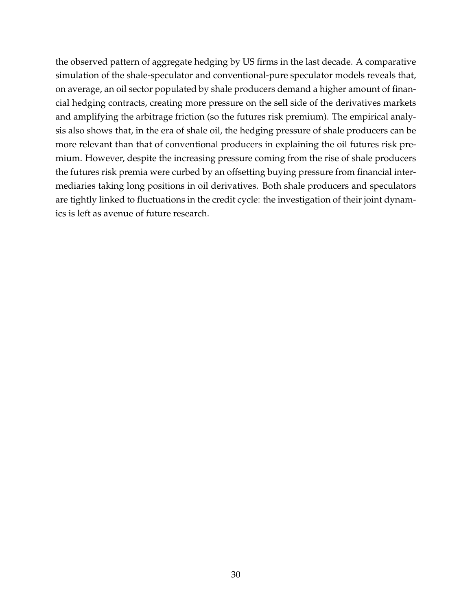the observed pattern of aggregate hedging by US firms in the last decade. A comparative simulation of the shale-speculator and conventional-pure speculator models reveals that, on average, an oil sector populated by shale producers demand a higher amount of financial hedging contracts, creating more pressure on the sell side of the derivatives markets and amplifying the arbitrage friction (so the futures risk premium). The empirical analysis also shows that, in the era of shale oil, the hedging pressure of shale producers can be more relevant than that of conventional producers in explaining the oil futures risk premium. However, despite the increasing pressure coming from the rise of shale producers the futures risk premia were curbed by an offsetting buying pressure from financial intermediaries taking long positions in oil derivatives. Both shale producers and speculators are tightly linked to fluctuations in the credit cycle: the investigation of their joint dynamics is left as avenue of future research.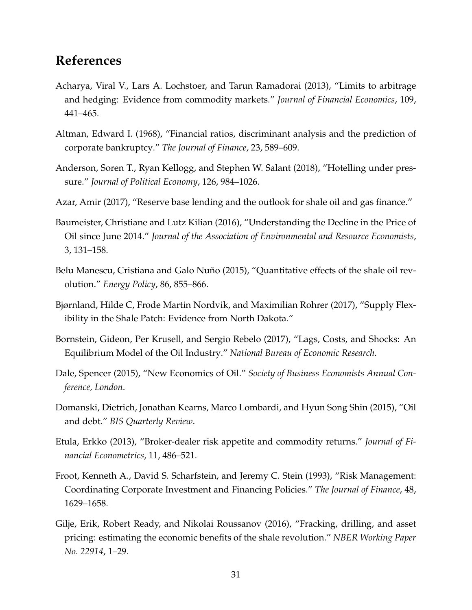## **References**

- Acharya, Viral V., Lars A. Lochstoer, and Tarun Ramadorai (2013), "Limits to arbitrage and hedging: Evidence from commodity markets." *Journal of Financial Economics*, 109, 441–465.
- Altman, Edward I. (1968), "Financial ratios, discriminant analysis and the prediction of corporate bankruptcy." *The Journal of Finance*, 23, 589–609.
- Anderson, Soren T., Ryan Kellogg, and Stephen W. Salant (2018), "Hotelling under pressure." *Journal of Political Economy*, 126, 984–1026.
- Azar, Amir (2017), "Reserve base lending and the outlook for shale oil and gas finance."
- Baumeister, Christiane and Lutz Kilian (2016), "Understanding the Decline in the Price of Oil since June 2014." *Journal of the Association of Environmental and Resource Economists*, 3, 131–158.
- Belu Manescu, Cristiana and Galo Nuño (2015), "Quantitative effects of the shale oil revolution." *Energy Policy*, 86, 855–866.
- Bjørnland, Hilde C, Frode Martin Nordvik, and Maximilian Rohrer (2017), "Supply Flexibility in the Shale Patch: Evidence from North Dakota."
- Bornstein, Gideon, Per Krusell, and Sergio Rebelo (2017), "Lags, Costs, and Shocks: An Equilibrium Model of the Oil Industry." *National Bureau of Economic Research*.
- Dale, Spencer (2015), "New Economics of Oil." *Society of Business Economists Annual Conference, London*.
- Domanski, Dietrich, Jonathan Kearns, Marco Lombardi, and Hyun Song Shin (2015), "Oil and debt." *BIS Quarterly Review*.
- Etula, Erkko (2013), "Broker-dealer risk appetite and commodity returns." *Journal of Financial Econometrics*, 11, 486–521.
- Froot, Kenneth A., David S. Scharfstein, and Jeremy C. Stein (1993), "Risk Management: Coordinating Corporate Investment and Financing Policies." *The Journal of Finance*, 48, 1629–1658.
- Gilje, Erik, Robert Ready, and Nikolai Roussanov (2016), "Fracking, drilling, and asset pricing: estimating the economic benefits of the shale revolution." *NBER Working Paper No. 22914*, 1–29.